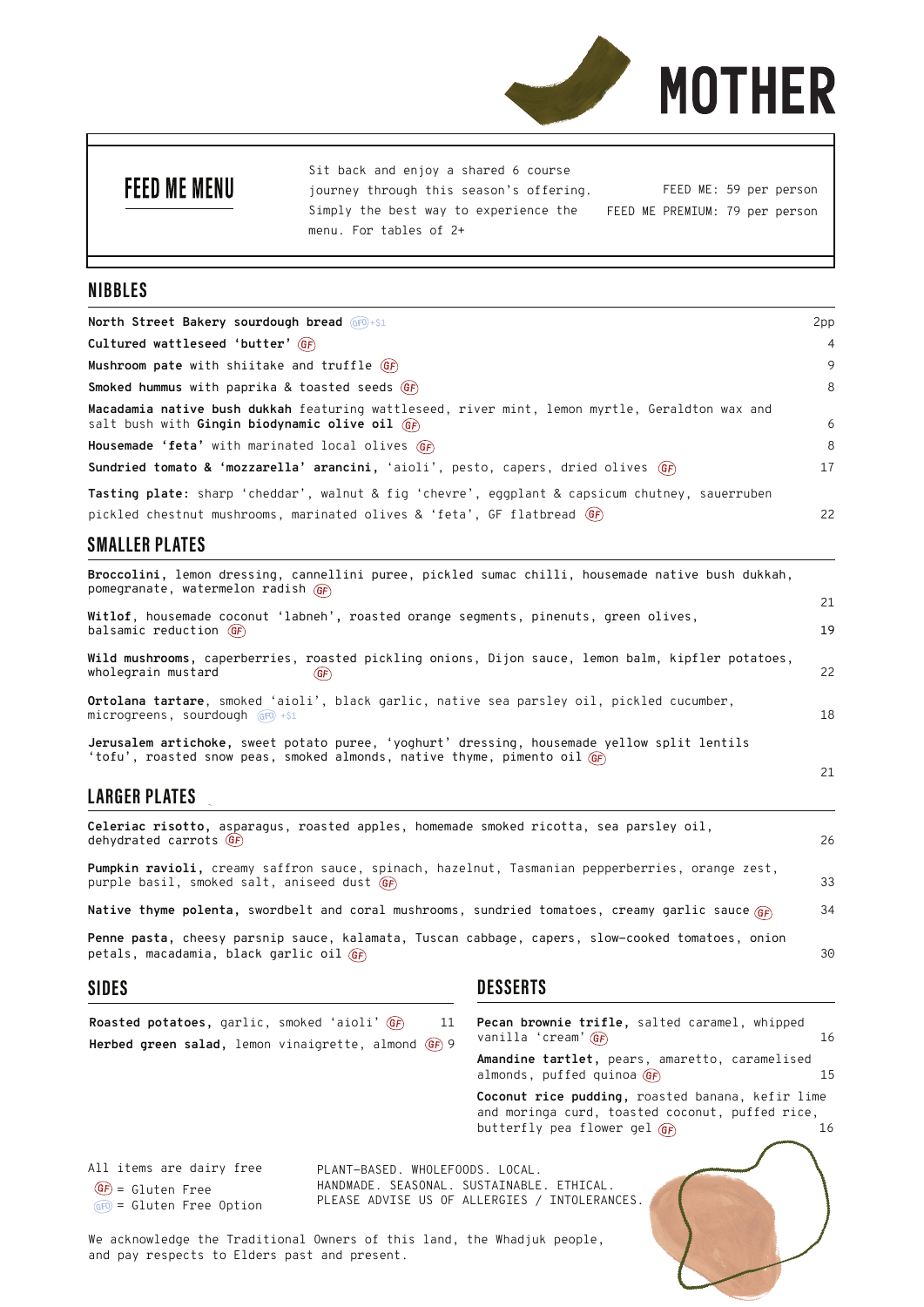

## **FEED ME MENU**

Sit back and enjoy a shared 6 course journey through this season's offering. Simply the best way to experience the menu. For tables of 2+ FEED ME: 59 per person FEED ME PREMIUM: 79 per person

## **NIBBLES**

| North Street Bakery sourdough bread GFO+\$1                                                                                                       | 2pp            |
|---------------------------------------------------------------------------------------------------------------------------------------------------|----------------|
| Cultured wattleseed 'butter' $GF$                                                                                                                 | $\overline{4}$ |
| Mushroom pate with shiitake and truffle $GF$                                                                                                      | 9              |
| <b>Smoked hummus</b> with paprika & toasted seeds $GF$                                                                                            | 8              |
| Macadamia native bush dukkah featuring wattleseed, river mint, lemon myrtle, Geraldton wax and<br>salt bush with Gingin biodynamic olive oil $GF$ | 6              |
| Housemade 'feta' with marinated local olives GF                                                                                                   | 8              |
| Sundried tomato & 'mozzarella' arancini, 'aioli', pesto, capers, dried olives (GF)                                                                | 17             |
| <b>Tasting plate:</b> sharp 'cheddar', walnut & fig 'chevre', eqqplant & capsicum chutney, sauerruben                                             |                |
| pickled chestnut mushrooms, marinated olives & 'feta', GF flatbread (GF)                                                                          | 22             |

## **SMALLER PLATES**

**Broccolini,** lemon dressing, cannellini puree, pickled sumac chilli, housemade native bush dukkah, pomegranate, watermelon radish

| Witlof, housemade coconut 'labneh', roasted orange segments, pinenuts, green olives,                                                                                               |    |  |
|------------------------------------------------------------------------------------------------------------------------------------------------------------------------------------|----|--|
| balsamic reduction $GF$                                                                                                                                                            | 19 |  |
| Wild mushrooms, caperberries, roasted pickling onions, Dijon sauce, lemon balm, kipfler potatoes,<br>wholegrain mustard<br>(GF)                                                    | 22 |  |
| <b>Ortolana tartare</b> , smoked 'aioli', black garlic, native sea parsley oil, pickled cucumber,<br>microgreens, sourdough $GP(1 + $1$                                            | 18 |  |
| Jerusalem artichoke, sweet potato puree, 'yoghurt' dressing, housemade yellow split lentils<br>'tofu', roasted snow peas, smoked almonds, native thyme, pimento oil $\overline{G}$ |    |  |

21 a v 10 a v 10 a v 10 a v 10 a v 10 a v 10 a v 10 a v 10 a v 10 a v 10 a v 10 a v 10 a v 10 a v 10 a v 10 a <br>21

## **LARGER PLATES**

| Celeriac risotto, asparagus, roasted apples, homemade smoked ricotta, sea parsley oil,<br>dehydrated carrots $GF$                             | 26 |
|-----------------------------------------------------------------------------------------------------------------------------------------------|----|
| Pumpkin ravioli, creamy saffron sauce, spinach, hazelnut, Tasmanian pepperberries, orange zest,<br>purple basil, smoked salt, aniseed dust GF | 33 |
| <b>Native thyme polenta,</b> swordbelt and coral mushrooms, sundried tomatoes, creamy garlic sauce $\frac{1}{\text{GF}}$                      | 34 |
| Penne pasta, cheesy parsnip sauce, kalamata, Tuscan cabbage, capers, slow-cooked tomatoes, onion<br>petals, macadamia, black garlic oil $(F)$ | 30 |

and pay respects to Elders past and present.

## **SIDES DESSERTS**

| Roasted potatoes, garlic, smoked 'aioli' GF<br>Herbed green salad, lemon vinaigrette, almond $GF(9)$ | 11                                                                           | Pecan brownie trifle, salted caramel, whipped<br>vanilla 'cream' GF                                                                  | 16 |
|------------------------------------------------------------------------------------------------------|------------------------------------------------------------------------------|--------------------------------------------------------------------------------------------------------------------------------------|----|
|                                                                                                      |                                                                              | Amandine tartlet, pears, amaretto, caramelised<br>almonds, puffed quinoa $GF$                                                        | 15 |
|                                                                                                      |                                                                              | Coconut rice pudding, roasted banana, kefir lime<br>and moringa curd, toasted coconut, puffed rice,<br>butterfly pea flower gel $GF$ | 16 |
| All items are dairy free<br>$GF = Gluten Free$<br>$GFD = Gluten Free Option$                         | PLANT-BASED. WHOLEFOODS. LOCAL.<br>HANDMADE. SEASONAL. SUSTAINABLE. ETHICAL. | PLEASE ADVISE US OF ALLERGIES / INTOLERANCES.                                                                                        |    |
| We acknowledge the Traditional Owners of this land, the Whadjuk people,                              |                                                                              |                                                                                                                                      |    |